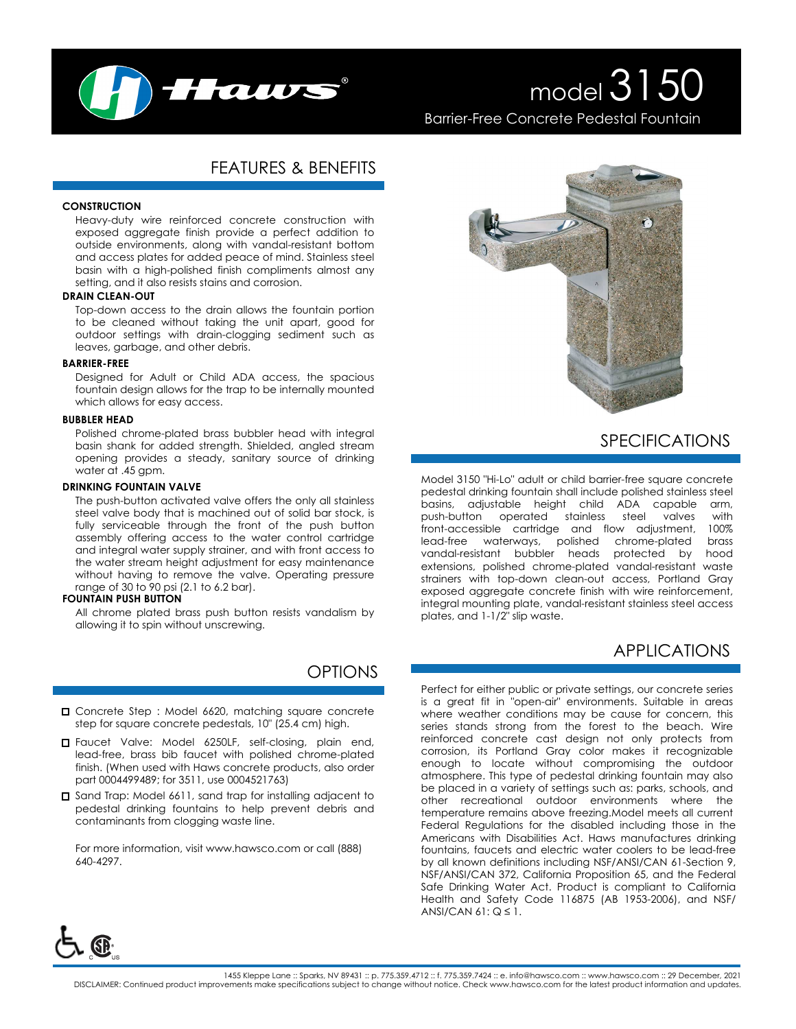

# model 3150 Barrier-Free Concrete Pedestal Fountain

## FEATURES & BENEFITS

#### **CONSTRUCTION**

Heavy-duty wire reinforced concrete construction with exposed aggregate finish provide a perfect addition to outside environments, along with vandal-resistant bottom and access plates for added peace of mind. Stainless steel basin with a high-polished finish compliments almost any setting, and it also resists stains and corrosion.

#### **DRAIN CLEAN-OUT**

Top-down access to the drain allows the fountain portion to be cleaned without taking the unit apart, good for outdoor settings with drain-clogging sediment such as leaves, garbage, and other debris.

#### **BARRIER-FREE**

Designed for Adult or Child ADA access, the spacious fountain design allows for the trap to be internally mounted which allows for easy access.

#### **BUBBLER HEAD**

Polished chrome-plated brass bubbler head with integral basin shank for added strength. Shielded, angled stream opening provides a steady, sanitary source of drinking water at .45 gpm.

#### **DRINKING FOUNTAIN VALVE**

The push-button activated valve offers the only all stainless steel valve body that is machined out of solid bar stock, is fully serviceable through the front of the push button assembly offering access to the water control cartridge and integral water supply strainer, and with front access to the water stream height adjustment for easy maintenance without having to remove the valve. Operating pressure range of 30 to 90 psi (2.1 to 6.2 bar).

### **FOUNTAIN PUSH BUTTON**

All chrome plated brass push button resists vandalism by allowing it to spin without unscrewing.

## **OPTIONS**

- □ Concrete Step : Model 6620, matching square concrete step for square concrete pedestals, 10" (25.4 cm) high.
- Faucet Valve: Model 6250LF, self-closing, plain end, lead-free, brass bib faucet with polished chrome-plated finish. (When used with Haws concrete products, also order part 0004499489; for 3511, use 0004521763)
- □ Sand Trap: Model 6611, sand trap for installing adjacent to pedestal drinking fountains to help prevent debris and contaminants from clogging waste line.

For more information, visit www.hawsco.com or call (888) 640-4297.



## SPECIFICATIONS

Model 3150 "Hi-Lo" adult or child barrier-free square concrete pedestal drinking fountain shall include polished stainless steel basins, adjustable height child ADA capable arm, push-button operated stainless steel valves with front-accessible cartridge and flow adjustment, lead-free waterways, polished chrome-plated brass vandal-resistant bubbler heads protected by hood extensions, polished chrome-plated vandal-resistant waste strainers with top-down clean-out access, Portland Gray exposed aggregate concrete finish with wire reinforcement, integral mounting plate, vandal-resistant stainless steel access plates, and 1-1/2" slip waste.

## APPLICATIONS

Perfect for either public or private settings, our concrete series is a great fit in "open-air" environments. Suitable in areas where weather conditions may be cause for concern, this series stands strong from the forest to the beach. Wire reinforced concrete cast design not only protects from corrosion, its Portland Gray color makes it recognizable enough to locate without compromising the outdoor atmosphere. This type of pedestal drinking fountain may also be placed in a variety of settings such as: parks, schools, and other recreational outdoor environments where the temperature remains above freezing.Model meets all current Federal Regulations for the disabled including those in the Americans with Disabilities Act. Haws manufactures drinking fountains, faucets and electric water coolers to be lead-free by all known definitions including NSF/ANSI/CAN 61-Section 9, NSF/ANSI/CAN 372, California Proposition 65, and the Federal Safe Drinking Water Act. Product is compliant to California Health and Safety Code 116875 (AB 1953-2006), and NSF/ ANSI/CAN  $61: Q \leq 1$ .

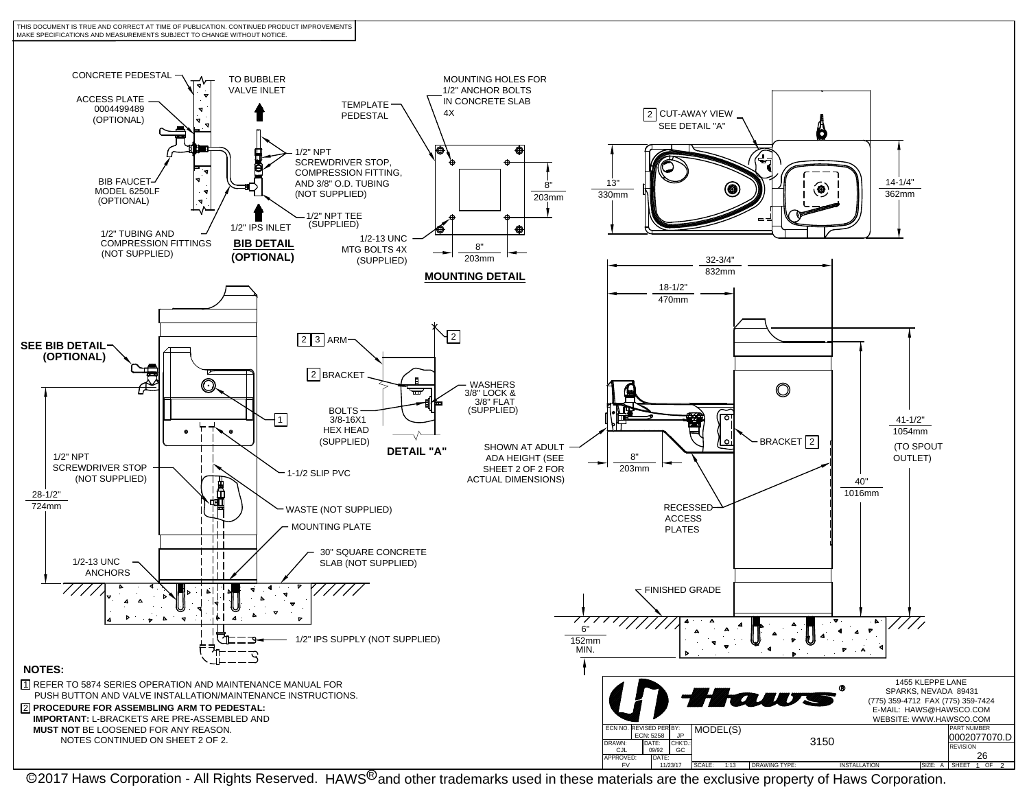



<u>CALE: 1:13 DRAWING TYPE: INSTALLATION ISZE: A LSHEET 1 OF 2 المحمد المستخدمة المحمد المحمد المحمد المحمد المح</u><br>2017 Haws Corporation - All Rights Reserved. HAWS<sup>®</sup> and other trademarks used in these materials are the exc